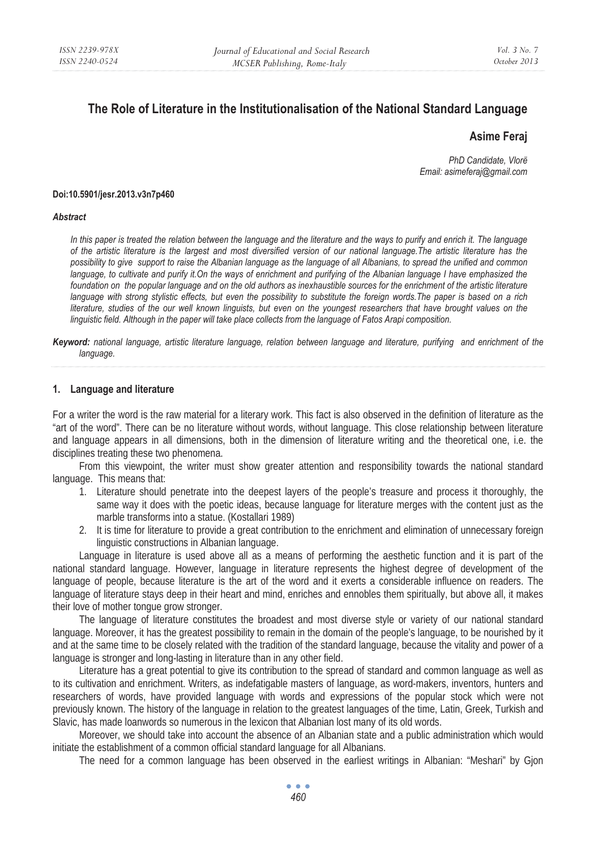# **The Role of Literature in the Institutionalisation of the National Standard Language**

## **Asime Feraj**

*PhD Candidate, Vlorë Email: asimeferaj@gmail.com* 

#### **Doi:10.5901/jesr.2013.v3n7p460**

#### *Abstract*

*In this paper is treated the relation between the language and the literature and the ways to purify and enrich it. The language of the artistic literature is the largest and most diversified version of our national language.The artistic literature has the possibility to give support to raise the Albanian language as the language of all Albanians, to spread the unified and common*  language, to cultivate and purify it. On the ways of enrichment and purifying of the Albanian language I have emphasized the foundation on the popular language and on the old authors as inexhaustible sources for the enrichment of the artistic literature *language with strong stylistic effects, but even the possibility to substitute the foreign words.The paper is based on a rich literature, studies of the our well known linguists, but even on the youngest researchers that have brought values on the linguistic field. Although in the paper will take place collects from the language of Fatos Arapi composition.* 

*Keyword: national language, artistic literature language, relation between language and literature, purifying and enrichment of the language.* 

#### **1. Language and literature**

For a writer the word is the raw material for a literary work. This fact is also observed in the definition of literature as the "art of the word". There can be no literature without words, without language. This close relationship between literature and language appears in all dimensions, both in the dimension of literature writing and the theoretical one, i.e. the disciplines treating these two phenomena.

From this viewpoint, the writer must show greater attention and responsibility towards the national standard language. This means that:

- 1. Literature should penetrate into the deepest layers of the people's treasure and process it thoroughly, the same way it does with the poetic ideas, because language for literature merges with the content just as the marble transforms into a statue. (Kostallari 1989)
- 2. It is time for literature to provide a great contribution to the enrichment and elimination of unnecessary foreign linguistic constructions in Albanian language.

Language in literature is used above all as a means of performing the aesthetic function and it is part of the national standard language. However, language in literature represents the highest degree of development of the language of people, because literature is the art of the word and it exerts a considerable influence on readers. The language of literature stays deep in their heart and mind, enriches and ennobles them spiritually, but above all, it makes their love of mother tongue grow stronger.

The language of literature constitutes the broadest and most diverse style or variety of our national standard language. Moreover, it has the greatest possibility to remain in the domain of the people's language, to be nourished by it and at the same time to be closely related with the tradition of the standard language, because the vitality and power of a language is stronger and long-lasting in literature than in any other field.

Literature has a great potential to give its contribution to the spread of standard and common language as well as to its cultivation and enrichment. Writers, as indefatigable masters of language, as word-makers, inventors, hunters and researchers of words, have provided language with words and expressions of the popular stock which were not previously known. The history of the language in relation to the greatest languages of the time, Latin, Greek, Turkish and Slavic, has made loanwords so numerous in the lexicon that Albanian lost many of its old words.

Moreover, we should take into account the absence of an Albanian state and a public administration which would initiate the establishment of a common official standard language for all Albanians.

The need for a common language has been observed in the earliest writings in Albanian: "Meshari" by Gjon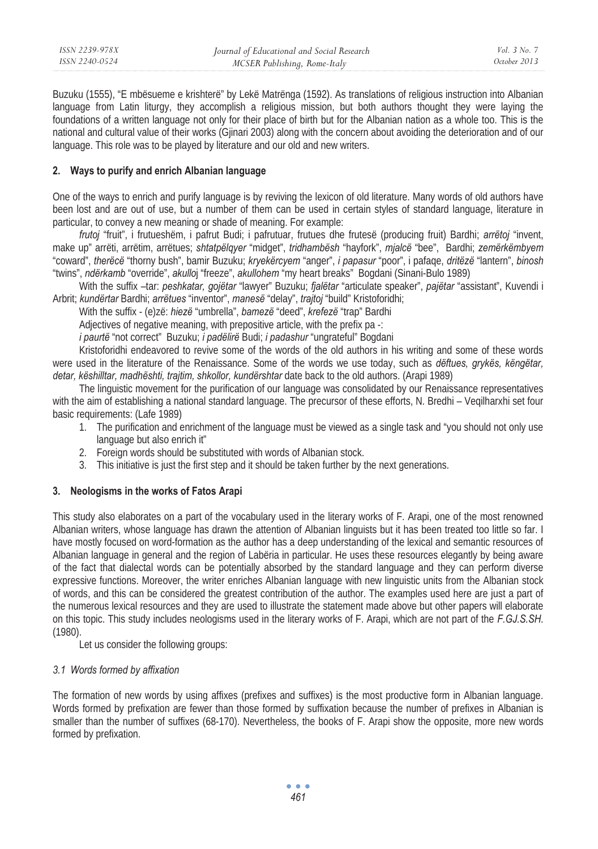Buzuku (1555), "E mbësueme e krishterë" by Lekë Matrënga (1592). As translations of religious instruction into Albanian language from Latin liturgy, they accomplish a religious mission, but both authors thought they were laying the foundations of a written language not only for their place of birth but for the Albanian nation as a whole too. This is the national and cultural value of their works (Gjinari 2003) along with the concern about avoiding the deterioration and of our language. This role was to be played by literature and our old and new writers.

### **2. Ways to purify and enrich Albanian language**

One of the ways to enrich and purify language is by reviving the lexicon of old literature. Many words of old authors have been lost and are out of use, but a number of them can be used in certain styles of standard language, literature in particular, to convey a new meaning or shade of meaning. For example:

*frutoj* "fruit", i frutueshëm, i pafrut Budi; i pafrutuar, frutues dhe frutesë (producing fruit) Bardhi; *arrëtoj* "invent, make up" arrëti, arrëtim, arrëtues; *shtatpëlqyer* "midget", *tridhambësh* "hayfork", *mjalcë* "bee", Bardhi; *zemërkëmbyem* "coward", *therëcë* "thorny bush", bamir Buzuku; *kryekërcyem* "anger", *i papasur* "poor", i pafaqe, *dritëzë* "lantern", *binosh* "twins", *ndërkamb* "override", *akullo*j "freeze", *akullohem* "my heart breaks" Bogdani (Sinani-Bulo 1989)

With the suffix –tar: *peshkatar, gojëtar* "lawyer" Buzuku; *fjalëtar* "articulate speaker", *pajëtar* "assistant", Kuvendi i Arbrit; *kundërtar* Bardhi; *arrëtues* "inventor", *manesë* "delay", *trajtoj* "build" Kristoforidhi;

With the suffix - (e)zë: *hiezë* "umbrella", *bamezë* "deed", *krefezë* "trap" Bardhi

Adjectives of negative meaning, with prepositive article, with the prefix pa -:

*i paurtë* "not correct" Buzuku; *i padëlirë* Budi; *i padashur* "ungrateful" Bogdani

Kristoforidhi endeavored to revive some of the words of the old authors in his writing and some of these words were used in the literature of the Renaissance. Some of the words we use today, such as *dëftues, grykës, këngëtar, detar, këshilltar, madhështi, trajtim, shkollor, kundërshtar* date back to the old authors. (Arapi 1989)

The linguistic movement for the purification of our language was consolidated by our Renaissance representatives with the aim of establishing a national standard language. The precursor of these efforts, N. Bredhi – Veqilharxhi set four basic requirements: (Lafe 1989)

- 1. The purification and enrichment of the language must be viewed as a single task and "you should not only use language but also enrich it"
- 2. Foreign words should be substituted with words of Albanian stock.
- 3. This initiative is just the first step and it should be taken further by the next generations.

## **3. Neologisms in the works of Fatos Arapi**

This study also elaborates on a part of the vocabulary used in the literary works of F. Arapi, one of the most renowned Albanian writers, whose language has drawn the attention of Albanian linguists but it has been treated too little so far. I have mostly focused on word-formation as the author has a deep understanding of the lexical and semantic resources of Albanian language in general and the region of Labëria in particular. He uses these resources elegantly by being aware of the fact that dialectal words can be potentially absorbed by the standard language and they can perform diverse expressive functions. Moreover, the writer enriches Albanian language with new linguistic units from the Albanian stock of words, and this can be considered the greatest contribution of the author. The examples used here are just a part of the numerous lexical resources and they are used to illustrate the statement made above but other papers will elaborate on this topic. This study includes neologisms used in the literary works of F. Arapi, which are not part of the *F.GJ.S.SH.*  (1980).

Let us consider the following groups:

### *3.1 Words formed by affixation*

The formation of new words by using affixes (prefixes and suffixes) is the most productive form in Albanian language. Words formed by prefixation are fewer than those formed by suffixation because the number of prefixes in Albanian is smaller than the number of suffixes (68-170). Nevertheless, the books of F. Arapi show the opposite, more new words formed by prefixation.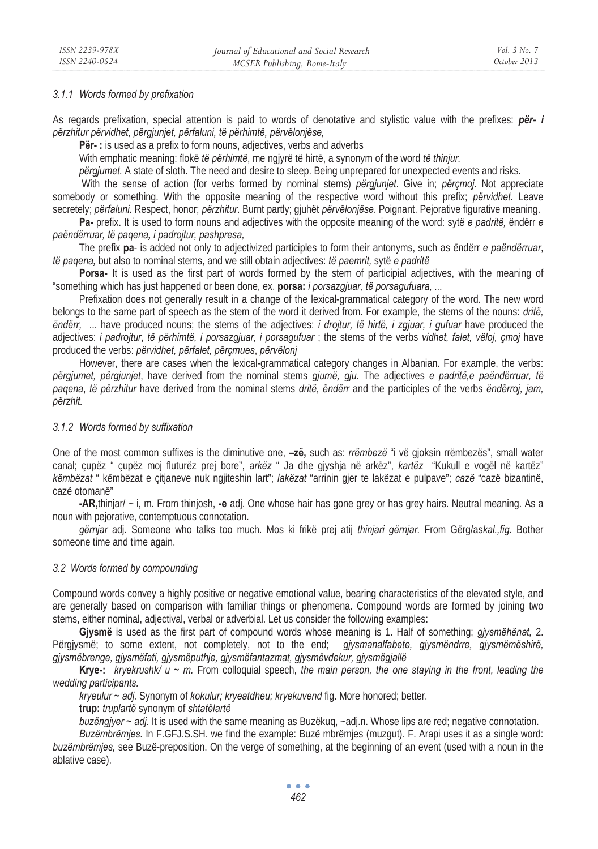#### *3.1.1 Words formed by prefixation*

As regards prefixation, special attention is paid to words of denotative and stylistic value with the prefixes: *për- i përzhitur përvidhet, përgjunjet, përfaluni, të përhimtë, përvëlonjëse,*

**Për-:** is used as a prefix to form nouns, adjectives, verbs and adverbs

With emphatic meaning: flokë *të përhimtë*, me ngjyrë të hirtë, a synonym of the word *të thinjur.*

*përgjumet.* A state of sloth. The need and desire to sleep. Being unprepared for unexpected events and risks.

 With the sense of action (for verbs formed by nominal stems) *përgjunjet*. Give in; *përçmoj*. Not appreciate somebody or something. With the opposite meaning of the respective word without this prefix; *përvidhet*. Leave secretely; *përfaluni*. Respect, honor; *përzhitur*. Burnt partly; gjuhët *përvëlonjëse*. Poignant. Pejorative figurative meaning.

**Pa-** prefix. It is used to form nouns and adjectives with the opposite meaning of the word: sytë *e padritë,* ëndërr *e paëndërruar, të paqena, i padrojtur, pashpresa,* 

The prefix **pa**- is added not only to adjectivized participles to form their antonyms, such as ëndërr *e paëndërruar*, *të paqena,* but also to nominal stems, and we still obtain adjectives: *të paemrit,* sytë *e padritë*

**Porsa-** It is used as the first part of words formed by the stem of participial adjectives, with the meaning of "something which has just happened or been done, ex. **porsa:** *i porsazgjuar, të porsagufuara, ...*

Prefixation does not generally result in a change of the lexical-grammatical category of the word. The new word belongs to the same part of speech as the stem of the word it derived from. For example, the stems of the nouns: *dritë, ëndërr,* ... have produced nouns; the stems of the adjectives: *i drojtur, të hirtë, i zgjuar, i gufuar* have produced the adjectives: *i padrojtur*, *të përhimtë, i porsazgjuar, i porsagufuar* ; the stems of the verbs *vidhet, falet, vëloj, çmoj* have produced the verbs: *përvidhet, përfalet, përçmues*, *përvëlonj*

However, there are cases when the lexical-grammatical category changes in Albanian. For example, the verbs: *përgjumet, përgjunjet*, have derived from the nominal stems *gjumë, gju.* The adjectives *e padritë,e paëndërruar, të paqena*, *të përzhitur* have derived from the nominal stems *dritë, ëndërr* and the participles of the verbs *ëndërroj, jam, përzhit.* 

#### *3.1.2 Words formed by suffixation*

One of the most common suffixes is the diminutive one, **–zë,** such as: *rrëmbezë* "i vë gjoksin rrëmbezës", small water canal; çupëz " çupëz moj fluturëz prej bore", *arkëz* " Ja dhe gjyshja në arkëz", *kartëz* "Kukull e vogël në kartëz" *këmbëzat* " këmbëzat e çitjaneve nuk ngjiteshin lart"; *lakëzat* "arrinin gjer te lakëzat e pulpave"; *cazë* "cazë bizantinë, cazë otomanë"

**-AR,**thinjar/ ~ i, m. From thinjosh, **-e** adj. One whose hair has gone grey or has grey hairs. Neutral meaning. As a noun with pejorative, contemptuous connotation.

*gërnjar* adj. Someone who talks too much. Mos ki frikë prej atij *thinjari gërnjar.* From Gërg/as*kal.,fig*. Bother someone time and time again.

### *3.2 Words formed by compounding*

Compound words convey a highly positive or negative emotional value, bearing characteristics of the elevated style, and are generally based on comparison with familiar things or phenomena. Compound words are formed by joining two stems, either nominal, adjectival, verbal or adverbial. Let us consider the following examples:

**Gjysmë** is used as the first part of compound words whose meaning is 1. Half of something; *gjysmëhënat,* 2. Përgjysmë; to some extent, not completely, not to the end; *gjysmanalfabete, gjysmëndrre, gjysmëmëshirë, gjysmëbrenge, gjysmëfati, gjysmëputhje, gjysmëfantazmat, gjysmëvdekur, gjysmëgjallë*

**Krye-:** *kryekrushk/ u ~ m.* From colloquial speech, *the main person, the one staying in the front, leading the wedding participants.* 

*kryeulur ~ adj.* Synonym of *kokulur; kryeatdheu; kryekuvend* fig. More honored; better.

**trup:** *truplartë* synonym of *shtatëlartë*

*buzëngjyer ~ adj.* It is used with the same meaning as Buzëkuq, ~adj.n. Whose lips are red; negative connotation.

*Buzëmbrëmjes.* In F.GFJ.S.SH. we find the example: Buzë mbrëmjes (muzgut). F. Arapi uses it as a single word: *buzëmbrëmjes,* see Buzë-preposition. On the verge of something, at the beginning of an event (used with a noun in the ablative case).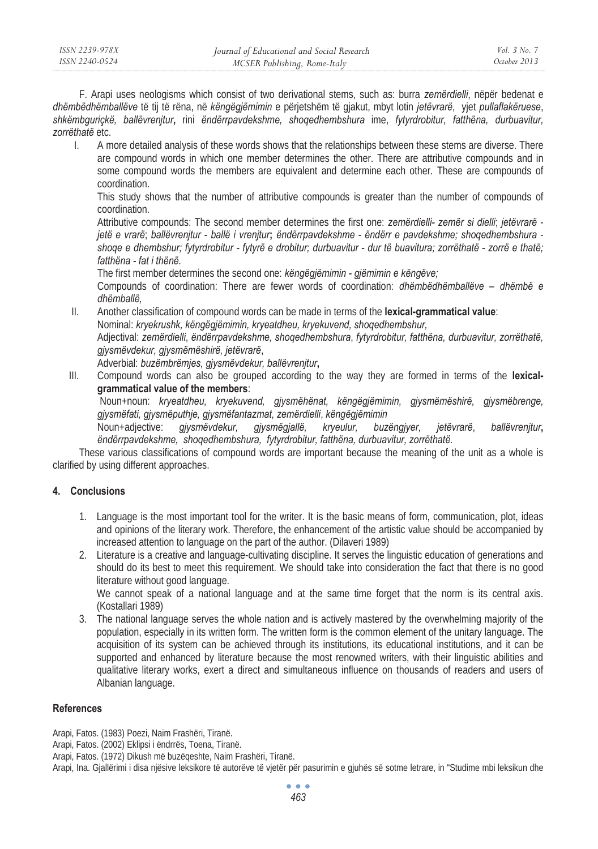F. Arapi uses neologisms which consist of two derivational stems, such as: burra *zemërdielli*, nëpër bedenat e *dhëmbëdhëmballëve* të tij të rëna, në *këngëgjëmimin* e përjetshëm të gjakut, mbyt lotin *jetëvrarë*, yjet *pullaflakëruese*, *shkëmbguriçkë, ballëvrenjtur***,** rini *ëndërrpavdekshme, shoqedhembshura* ime, *fytyrdrobitur, fatthëna, durbuavitur, zorrëthatë* etc.

I. A more detailed analysis of these words shows that the relationships between these stems are diverse. There are compound words in which one member determines the other. There are attributive compounds and in some compound words the members are equivalent and determine each other. These are compounds of coordination.

This study shows that the number of attributive compounds is greater than the number of compounds of coordination.

Attributive compounds: The second member determines the first one: *zemërdielli- zemër si dielli*; *jetëvrarë jetë e vrarë*; *ballëvrenjtur - ballë i vrenjtur***;** *ëndërrpavdekshme - ëndërr e pavdekshme; shoqedhembshura shoqe e dhembshur; fytyrdrobitur - fytyrë e drobitur; durbuavitur - dur të buavitura; zorrëthatë - zorrë e thatë; fatthëna - fat i thënë.*

The first member determines the second one: *këngëgjëmimin - gjëmimin e këngëve;* 

Compounds of coordination: There are fewer words of coordination: *dhëmbëdhëmballëve – dhëmbë e dhëmballë,* 

II. Another classification of compound words can be made in terms of the **lexical-grammatical value**: Nominal: *kryekrushk, këngëgjëmimin, kryeatdheu, kryekuvend, shoqedhembshur,* Adjectival: *zemërdielli*, *ëndërrpavdekshme, shoqedhembshura*, *fytyrdrobitur, fatthëna, durbuavitur, zorrëthatë, gjysmëvdekur, gjysmëmëshirë, jetëvrarë*,

Adverbial: *buzëmbrëmjes, gjysmëvdekur, ballëvrenjtur***,**

III. Compound words can also be grouped according to the way they are formed in terms of the **lexicalgrammatical value of the members**:

 Noun+noun: *kryeatdheu, kryekuvend, gjysmëhënat, këngëgjëmimin, gjysmëmëshirë, gjysmëbrenge, gjysmëfati, gjysmëputhje, gjysmëfantazmat, zemërdielli*, *këngëgjëmimin* 

Noun+adjective: *gjysmëvdekur, gjysmëgjallë, kryeulur, buzëngjyer, jetëvrarë*, *ballëvrenjtur***,** *ëndërrpavdekshme, shoqedhembshura, fytyrdrobitur, fatthëna, durbuavitur, zorrëthatë.* 

These various classifications of compound words are important because the meaning of the unit as a whole is clarified by using different approaches.

## **4. Conclusions**

- 1. Language is the most important tool for the writer. It is the basic means of form, communication, plot, ideas and opinions of the literary work. Therefore, the enhancement of the artistic value should be accompanied by increased attention to language on the part of the author. (Dilaveri 1989)
- 2. Literature is a creative and language-cultivating discipline. It serves the linguistic education of generations and should do its best to meet this requirement. We should take into consideration the fact that there is no good literature without good language.

We cannot speak of a national language and at the same time forget that the norm is its central axis. (Kostallari 1989)

3. The national language serves the whole nation and is actively mastered by the overwhelming majority of the population, especially in its written form. The written form is the common element of the unitary language. The acquisition of its system can be achieved through its institutions, its educational institutions, and it can be supported and enhanced by literature because the most renowned writers, with their linguistic abilities and qualitative literary works, exert a direct and simultaneous influence on thousands of readers and users of Albanian language.

## **References**

Arapi, Fatos. (1983) Poezi, Naim Frashëri, Tiranë.

- Arapi, Fatos. (2002) Eklipsi i ëndrrës, Toena, Tiranë.
- Arapi, Fatos. (1972) Dikush më buzëqeshte, Naim Frashëri, Tiranë.

Arapi, Ina. Gjallërimi i disa njësive leksikore të autorëve të vjetër për pasurimin e gjuhës së sotme letrare, in "Studime mbi leksikun dhe